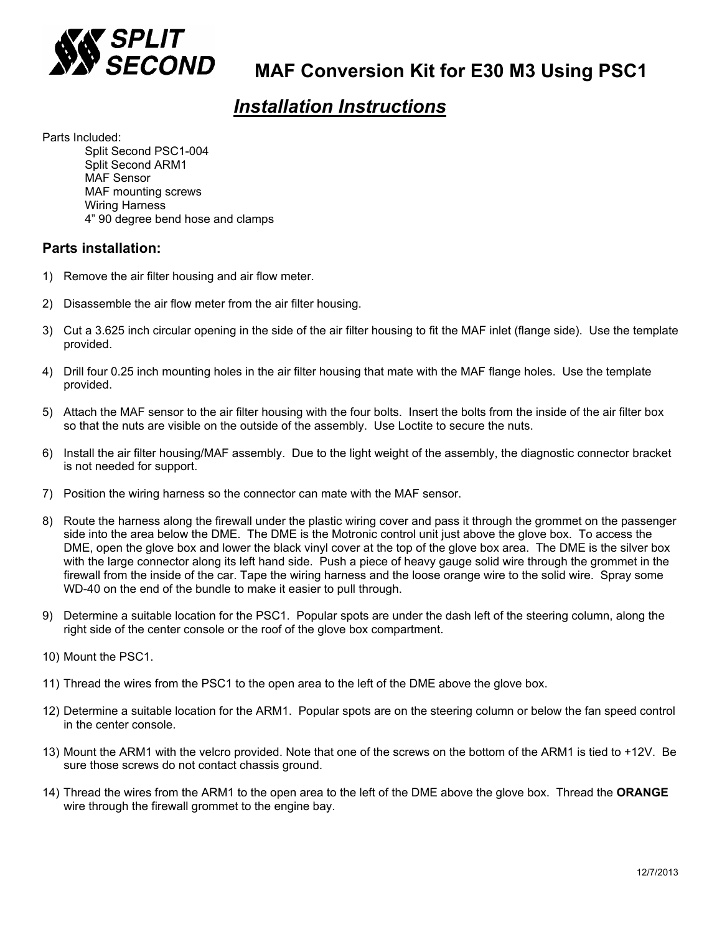

# *Installation Instructions*

Parts Included:

 Split Second PSC1-004 Split Second ARM1 MAF Sensor MAF mounting screws Wiring Harness 4" 90 degree bend hose and clamps

### **Parts installation:**

- 1) Remove the air filter housing and air flow meter.
- 2) Disassemble the air flow meter from the air filter housing.
- 3) Cut a 3.625 inch circular opening in the side of the air filter housing to fit the MAF inlet (flange side). Use the template provided.
- 4) Drill four 0.25 inch mounting holes in the air filter housing that mate with the MAF flange holes. Use the template provided.
- 5) Attach the MAF sensor to the air filter housing with the four bolts. Insert the bolts from the inside of the air filter box so that the nuts are visible on the outside of the assembly. Use Loctite to secure the nuts.
- 6) Install the air filter housing/MAF assembly. Due to the light weight of the assembly, the diagnostic connector bracket is not needed for support.
- 7) Position the wiring harness so the connector can mate with the MAF sensor.
- 8) Route the harness along the firewall under the plastic wiring cover and pass it through the grommet on the passenger side into the area below the DME. The DME is the Motronic control unit just above the glove box. To access the DME, open the glove box and lower the black vinyl cover at the top of the glove box area. The DME is the silver box with the large connector along its left hand side. Push a piece of heavy gauge solid wire through the grommet in the firewall from the inside of the car. Tape the wiring harness and the loose orange wire to the solid wire. Spray some WD-40 on the end of the bundle to make it easier to pull through.
- 9) Determine a suitable location for the PSC1. Popular spots are under the dash left of the steering column, along the right side of the center console or the roof of the glove box compartment.
- 10) Mount the PSC1.
- 11) Thread the wires from the PSC1 to the open area to the left of the DME above the glove box.
- 12) Determine a suitable location for the ARM1. Popular spots are on the steering column or below the fan speed control in the center console.
- 13) Mount the ARM1 with the velcro provided. Note that one of the screws on the bottom of the ARM1 is tied to +12V. Be sure those screws do not contact chassis ground.
- 14) Thread the wires from the ARM1 to the open area to the left of the DME above the glove box. Thread the **ORANGE** wire through the firewall grommet to the engine bay.